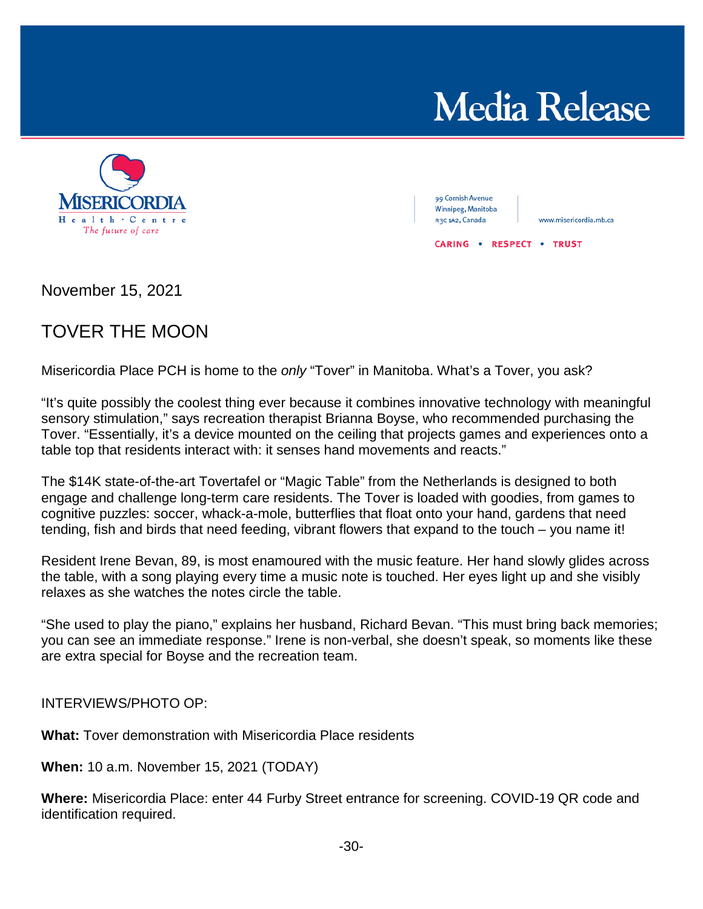## **Media Release**



99 Cornish Avenue Winnipeg, Manitoba R3C 1A2, Canada

www.misericordia.mb.ca

**CARING . RESPECT . TRUST** 

November 15, 2021

## TOVER THE MOON

Misericordia Place PCH is home to the *only* "Tover" in Manitoba. What's a Tover, you ask?

"It's quite possibly the coolest thing ever because it combines innovative technology with meaningful sensory stimulation," says recreation therapist Brianna Boyse, who recommended purchasing the Tover. "Essentially, it's a device mounted on the ceiling that projects games and experiences onto a table top that residents interact with: it senses hand movements and reacts."

The \$14K state-of-the-art Tovertafel or "Magic Table" from the Netherlands is designed to both engage and challenge long-term care residents. The Tover is loaded with goodies, from games to cognitive puzzles: soccer, whack-a-mole, butterflies that float onto your hand, gardens that need tending, fish and birds that need feeding, vibrant flowers that expand to the touch – you name it!

Resident Irene Bevan, 89, is most enamoured with the music feature. Her hand slowly glides across the table, with a song playing every time a music note is touched. Her eyes light up and she visibly relaxes as she watches the notes circle the table.

"She used to play the piano," explains her husband, Richard Bevan. "This must bring back memories; you can see an immediate response." Irene is non-verbal, she doesn't speak, so moments like these are extra special for Boyse and the recreation team.

INTERVIEWS/PHOTO OP:

**What:** Tover demonstration with Misericordia Place residents

**When:** 10 a.m. November 15, 2021 (TODAY)

**Where:** Misericordia Place: enter 44 Furby Street entrance for screening. COVID-19 QR code and identification required.